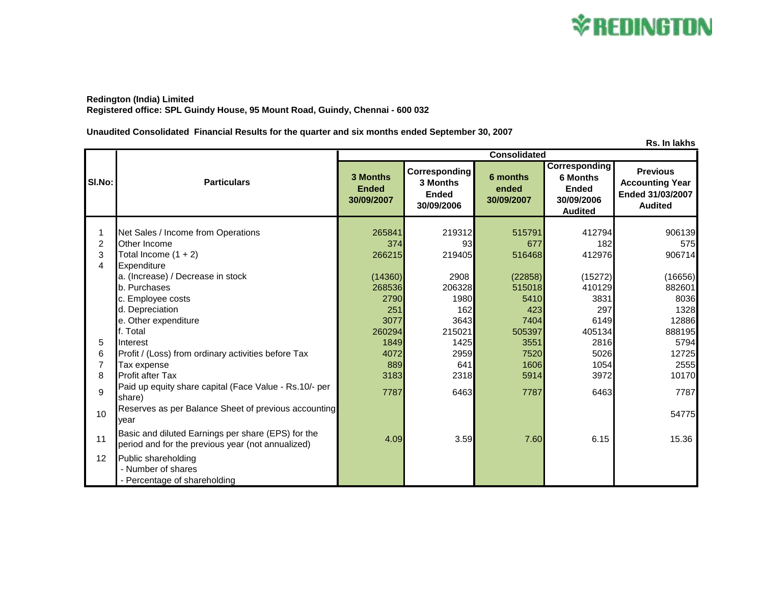

**Redington (India) Limited Registered office: SPL Guindy House, 95 Mount Road, Guindy, Chennai - 600 032**

**Unaudited Consolidated Financial Results for the quarter and six months ended September 30, 2007**

**Rs. In lakhs 3 Months Ended 30/09/2007 Corresponding 3 Months Ended 30/09/2006 6 months ended 30/09/2007 Corresponding 6 Months Ended 30/09/2006 Audited Previous Accounting Year Ended 31/03/2007 Audited** 1 Net Sales / Income from Operations 1 265841 219312 515791 412794 906139 2 Other Income 374 93 677 182 575 3 Total Income (1 + 2) 266215 219405 516468 412976 906714 4 Expenditure a. (Increase) / Decrease in stock (14360) 2908 (22858) (15272) (16656) b. Purchases 268536 206328 515018 410129 882601 c. Employee costs 2790 3831 8036 8036 3831 8036 d. Depreciation 251 162 423 297 1328 e. Other expenditure 12886 **12886 12886 12886 3077** 3643 **7404** 6149 **6149** 12886 f. Total 260294 215021 505397 405134 888195 5 Interest 1849 1425 3551 2816 5794 6 Profit / (Loss) from ordinary activities before Tax 4072 2959 7520 5026 12725 7 Tax expense 889 641 1606 1054 2555 8 Profit after Tax 3183 2318 5914 3972 10170 9 Paid up equity share capital (Face Value - Rs.10/- per share) 6463 **6463** 7787 6468 6463 6463 6463 6463 6463 7787 6463 7787 6463 7787 6463 7787 6463 7787 6463 7787 6463 10 Reserves as per Balance Sheet of previous accounting year 54775 **Basic and diluted Earnings per share (EPS) for the** period and dilated Latitings per share (LT 0) for the discussion of the 4.09 15.36 15.36 15.36 15.36 15.36 12 Public shareholding - Number of shares - Percentage of shareholding **Sl.No: Particulars Consolidated**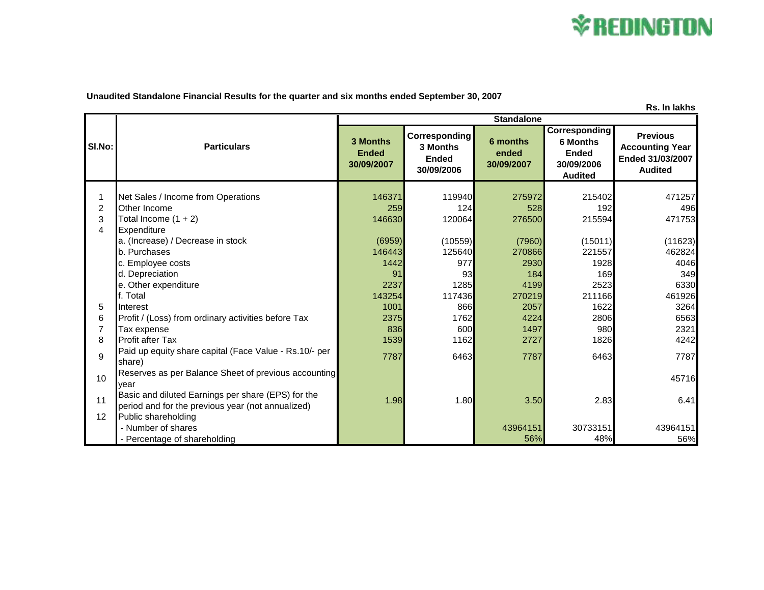

**Unaudited Standalone Financial Results for the quarter and six months ended September 30, 2007**

| Rs. In lakhs   |                                                                                                         |                                        |                                                         |                                 |                                                                                         |                                                                                 |  |  |
|----------------|---------------------------------------------------------------------------------------------------------|----------------------------------------|---------------------------------------------------------|---------------------------------|-----------------------------------------------------------------------------------------|---------------------------------------------------------------------------------|--|--|
|                | <b>Particulars</b>                                                                                      | <b>Standalone</b>                      |                                                         |                                 |                                                                                         |                                                                                 |  |  |
| SI.No:         |                                                                                                         | 3 Months<br><b>Ended</b><br>30/09/2007 | Corresponding<br>3 Months<br><b>Ended</b><br>30/09/2006 | 6 months<br>ended<br>30/09/2007 | <b>Corresponding</b><br><b>6 Months</b><br><b>Ended</b><br>30/09/2006<br><b>Audited</b> | <b>Previous</b><br><b>Accounting Year</b><br>Ended 31/03/2007<br><b>Audited</b> |  |  |
|                |                                                                                                         |                                        |                                                         |                                 |                                                                                         |                                                                                 |  |  |
|                | Net Sales / Income from Operations                                                                      | 146371                                 | 119940                                                  | 275972                          | 215402                                                                                  | 471257                                                                          |  |  |
| $\overline{2}$ | Other Income                                                                                            | 259                                    | 124                                                     | 528                             | 192                                                                                     | 496                                                                             |  |  |
| 3              | Total Income $(1 + 2)$                                                                                  | 146630                                 | 120064                                                  | 276500                          | 215594                                                                                  | 471753                                                                          |  |  |
| 4              | Expenditure                                                                                             |                                        |                                                         |                                 |                                                                                         |                                                                                 |  |  |
|                | a. (Increase) / Decrease in stock<br>b. Purchases                                                       | (6959)<br>146443                       | (10559)                                                 | (7960)                          | (15011)                                                                                 | (11623)                                                                         |  |  |
|                |                                                                                                         | 1442                                   | 125640<br>977                                           | 270866                          | 221557                                                                                  | 462824<br>4046                                                                  |  |  |
|                | c. Employee costs<br>d. Depreciation                                                                    | 91                                     | 93 <sub>l</sub>                                         | 2930<br>184                     | 1928<br>169                                                                             | 349                                                                             |  |  |
|                | e. Other expenditure                                                                                    | 2237                                   | 1285                                                    | 4199                            | 2523                                                                                    | 6330                                                                            |  |  |
|                | f. Total                                                                                                | 143254                                 | 117436                                                  | 270219                          | 211166                                                                                  | 461926                                                                          |  |  |
| 5              | Interest                                                                                                | 1001                                   | 866                                                     | 2057                            | 1622                                                                                    | 3264                                                                            |  |  |
| 6              | Profit / (Loss) from ordinary activities before Tax                                                     | 2375                                   | 1762                                                    | 4224                            | 2806                                                                                    | 6563                                                                            |  |  |
| 7              | Tax expense                                                                                             | 836                                    | 600                                                     | 1497                            | 980                                                                                     | 2321                                                                            |  |  |
| 8              | <b>Profit after Tax</b>                                                                                 | 1539                                   | 1162                                                    | 2727                            | 1826                                                                                    | 4242                                                                            |  |  |
| 9              | Paid up equity share capital (Face Value - Rs.10/- per<br>share)                                        | 7787                                   | 6463                                                    | 7787                            | 6463                                                                                    | 7787                                                                            |  |  |
| 10             | Reserves as per Balance Sheet of previous accounting<br>vear                                            |                                        |                                                         |                                 |                                                                                         | 45716                                                                           |  |  |
| 11             | Basic and diluted Earnings per share (EPS) for the<br>period and for the previous year (not annualized) | 1.98                                   | 1.80                                                    | 3.50                            | 2.83                                                                                    | 6.41                                                                            |  |  |
| 12             | Public shareholding                                                                                     |                                        |                                                         |                                 |                                                                                         |                                                                                 |  |  |
|                | - Number of shares                                                                                      |                                        |                                                         | 43964151                        | 30733151                                                                                | 43964151                                                                        |  |  |
|                | - Percentage of shareholding                                                                            |                                        |                                                         | 56%                             | 48%                                                                                     | 56%                                                                             |  |  |